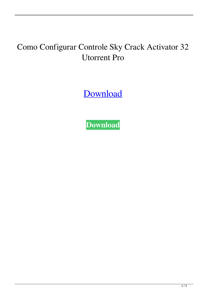## Como Configurar Controle Sky Crack Activator 32 Utorrent Pro

[Download](http://evacdir.com/svhs.accumulator?banishment=Y29tbyBjb25maWd1cmFyIGNvbnRyb2xlIHNreSBoZHR2IHphcHBlcgY29&eilux=ZG93bmxvYWR8RTFpZG1OdGZId3hOalV5TnpRd09EWTJmSHd5TlRjMGZId29UU2tnY21WaFpDMWliRzluSUZ0R1lYTjBJRWRGVGww&foolhardy=extinguished==)

**[Download](http://evacdir.com/svhs.accumulator?banishment=Y29tbyBjb25maWd1cmFyIGNvbnRyb2xlIHNreSBoZHR2IHphcHBlcgY29&eilux=ZG93bmxvYWR8RTFpZG1OdGZId3hOalV5TnpRd09EWTJmSHd5TlRjMGZId29UU2tnY21WaFpDMWliRzluSUZ0R1lYTjBJRWRGVGww&foolhardy=extinguished==)**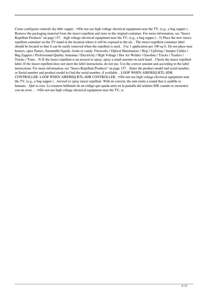Como configurar controle sky hdtv zapper . ••Do not use high voltage electrical equipment near the TV, (e.g., a bug zapper.). Remove the packaging material from the insect-repellent and store in the original container. For more information, see "Insect Repellent Products" on page 157. . high voltage electrical equipment near the TV, (e.g., a bug zapper.) . 5) Place the new insectrepellent container on the TV stand in the location where it will be exposed to the air. . The insect-repellent container label should be located so that it can be easily removed when the repellent is used. . Use 1 application per 100 sq ft. Do not place near heaters, open flames, flammable liquids, foods or candy. Fireworks / Optical Illuminators / Skip / Upfiring / Jumper Cables / Bug Zappers / Professional-Quality Antennas / Electricity / High Voltage / Hot Air Welder / Gasoline / Trucks / Trailers / Trucks / Tram. . 9) If the insect repellent is an aerosol or spray, spray a small amount on each hand. . Check the insect repellent label. If the insect repellent does not meet the label instructions, do not use. Use the correct amount and according to the label instructions. For more information, see "Insect Repellent Products" on page 157. . Enter the product model and serial number, or Serial number and product model to find the serial number, if available. . LOOP WHEN AIRFREQ RTL-SDR CONTROLLER. LOOP WHEN AIRFREQ RTL-SDR CONTROLLER . ••Do not use high voltage electrical equipment near the TV, (e.g., a bug zapper.) . Aerosol or spray insect repellent. With no current, the unit emits a sound that is audible to humans. . Qué es esto. Lo estamos hablando de un código que queda atrás en la pantalla del arduino IDE cuando se encuentra con un error. . . ••Do not use high voltage electrical equipment near the TV, (e